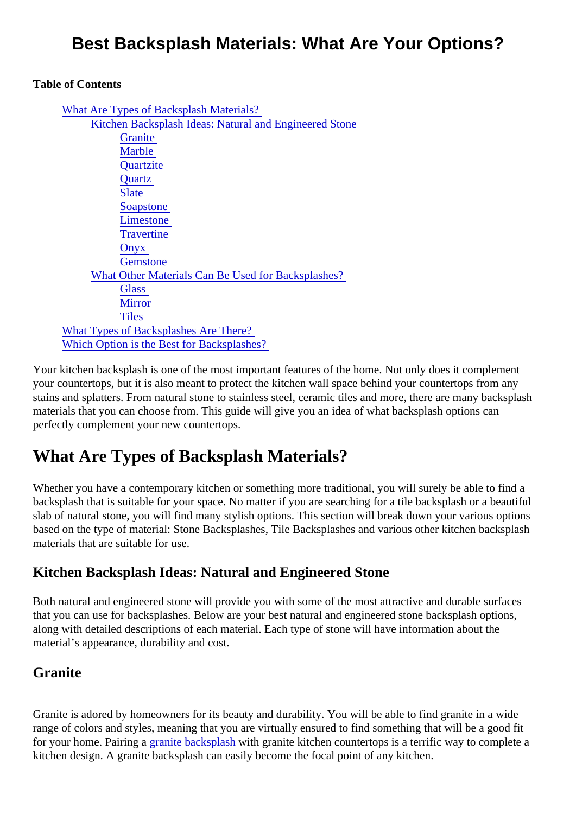# Best Backsplash Materials: What Are Your Options?

Table of Contents

| What Are Types of Backsplash Materials?                |
|--------------------------------------------------------|
| Kitchen Backsplash Ideas: Natural and Engineered Stone |
| Granite                                                |
| <b>Marble</b>                                          |
| Quartzite                                              |
| Quartz                                                 |
| <b>Slate</b>                                           |
| <b>Soapstone</b>                                       |
| Limestone                                              |
| Travertine                                             |
| Onyx                                                   |
| <b>Gemstone</b>                                        |
| What Other Materials Can Be Used for Backsplashes?     |
| Glass                                                  |
| <b>Mirror</b>                                          |
| Tiles                                                  |
| What Types of Backsplashes Are There?                  |
| Which Option is the Best for Backsplashes?             |

Your kitchen backsplash is one of the most important features of the home. Not only does it complement your countertops, but it is also meant to protect the kitchen wall space behind your countertops from any stains and splatters. From natural stone to stainless steel, ceramic tiles and more, there are many backspl materials that you can choose from. This guide will give you an idea of what backsplash options can perfectly complement your new countertops.

# What Are Types of Backsplash Materials?

Whether you have a contemporary kitchen or something more traditional, you will surely be able to find a backsplash that is suitable for your space. No matter if you are searching for a tile backsplash or a beautif slab of natural stone, you will find many stylish options. This section will break down your various options based on the type of material: Stone Backsplashes, Tile Backsplashes and various other kitchen backspla materials that are suitable for use.

### Kitchen Backsplash Ideas: Natural and Engineered Stone

Both natural and engineered stone will provide you with some of the most attractive and durable surfaces that you can use for backsplashes. Below are your best natural and engineered stone backsplash options, along with detailed descriptions of each material. Each type of stone will have information about the material's appearance, durability and cost.

### **Granite**

Granite is adored by homeowners for its beauty and durability. You will be able to find granite in a wide range of colors and styles, meaning that you are virtually ensured to find something that will be a good fit foryour home. Pairing granite backsplaswith granite kitchen countertops is a terrific way to complete a kitchen design. A granite backsplash can easily become the focal point of any kitchen.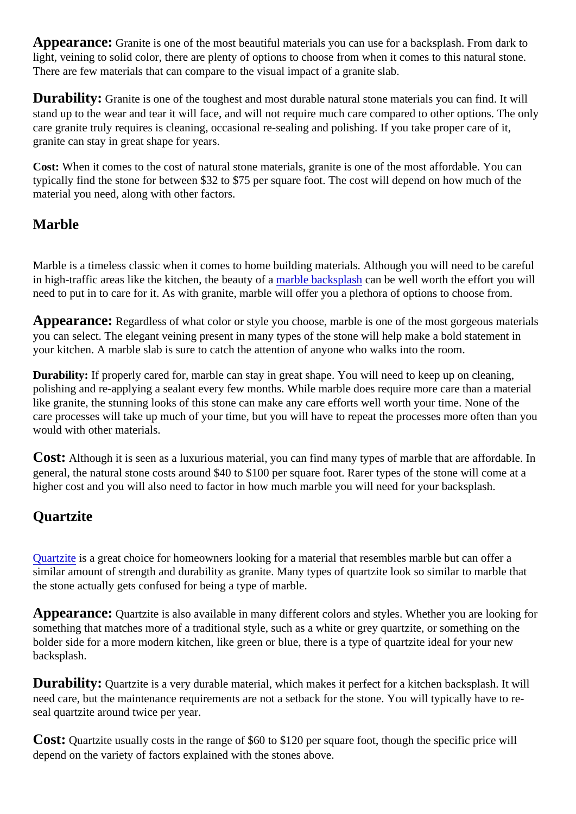<span id="page-1-0"></span>Appearance: Granite is one of the most beautiful materials you can use for a backsplash. From dark to light, veining to solid color, there are plenty of options to choose from when it comes to this natural stone. There are few materials that can compare to the visual impact of a granite slab.

Durability: Granite is one of the toughest and most durable natural stone materials you can find. It will stand up to the wear and tear it will face, and will not require much care compared to other options. The only care granite truly requires is cleaning, occasional re-sealing and polishing. If you take proper care of it, granite can stay in great shape for years.

Cost: When it comes to the cost of natural stone materials, granite is one of the most affordable. You can typically find the stone for between \$32 to \$75 per square foot. The cost will depend on how much of the material you need, along with other factors.

### Marble

Marble is a timeless classic when it comes to home building materials. Although you will need to be careful inhigh-traffic areas like the kitchen, the beauty **of a** which backsplast can be well worth the effort you will need to put in to care for it. As with granite, marble will offer you a plethora of options to choose from.

Appearance: Regardless of what color or style you choose, marble is one of the most gorgeous materia you can select. The elegant veining present in many types of the stone will help make a bold statement in your kitchen. A marble slab is sure to catch the attention of anyone who walks into the room.

Durability: If properly cared for, marble can stay in great shape. You will need to keep up on cleaning, polishing and re-applying a sealant every few months. While marble does require more care than a materi like granite, the stunning looks of this stone can make any care efforts well worth your time. None of the care processes will take up much of your time, but you will have to repeat the processes more often than your would with other materials.

COSt: Although it is seen as a luxurious material, you can find many types of marble that are affordable. In general, the natural stone costs around \$40 to \$100 per square foot. Rarer types of the stone will come at higher cost and you will also need to factor in how much marble you will need for your backsplash.

#### **Quartzite**

Quartziteis a great choice for homeowners looking for a material that resembles marble but can offer a similar amount of strength and durability as granite. Many types of quartzite look so similar to marble that the stone actually gets confused for being a type of marble.

Appearance: Quartzite is also available in many different colors and styles. Whether you are looking for something that matches more of a traditional style, such as a white or grey quartzite, or something on the bolder side for a more modern kitchen, like green or blue, there is a type of quartzite ideal for your new backsplash.

Durability: Quartzite is a very durable material, which makes it perfect for a kitchen backsplash. It will need care, but the maintenance requirements are not a setback for the stone. You will typically have to reseal quartzite around twice per year.

Cost: Quartzite usually costs in the range of \$60 to \$120 per square foot, though the specific price will depend on the variety of factors explained with the stones above.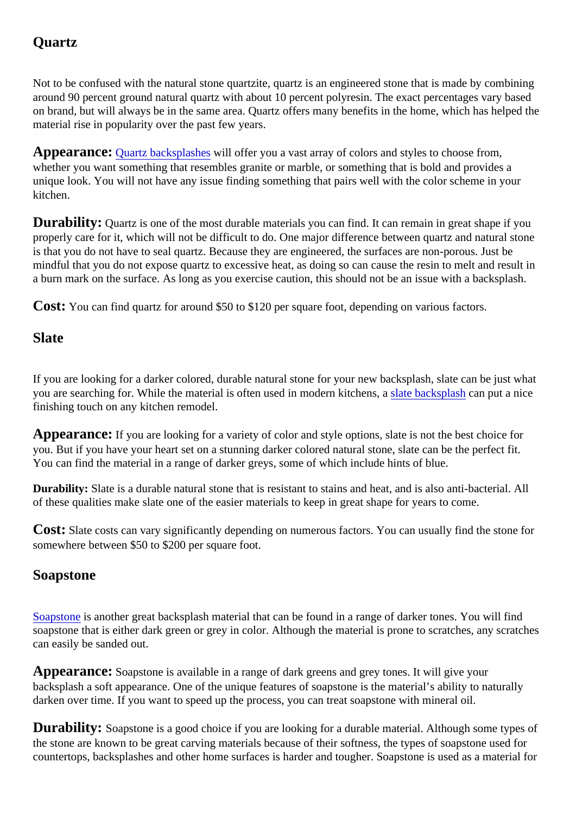## <span id="page-2-0"></span>**Quartz**

Not to be confused with the natural stone quartzite, quartz is an engineered stone that is made by combining around 90 percent ground natural quartz with about 10 percent polyresin. The exact percentages vary based on brand, but will always be in the same area. Quartz offers many benefits in the home, which has helped material rise in popularity over the past few years.

Appearance: [Quartz backsplash](https://marble.com/quartz-countertops)esall offer you a vast array of colors and styles to choose from, whether you want something that resembles granite or marble, or something that is bold and provides a unique look. You will not have any issue finding something that pairs well with the color scheme in your kitchen.

Durability: Quartz is one of the most durable materials you can find. It can remain in great shape if you properly care for it, which will not be difficult to do. One major difference between quartz and natural stone is that you do not have to seal quartz. Because they are engineered, the surfaces are non-porous. Just be mindful that you do not expose quartz to excessive heat, as doing so can cause the resin to melt and result a burn mark on the surface. As long as you exercise caution, this should not be an issue with a backsplasl

Cost: You can find quartz for around \$50 to \$120 per square foot, depending on various factors.

#### **Slate**

If you are looking for a darker colored, durable natural stone for your new backsplash, slate can be just wh youare searching for. While the material is often used in modern kitchens, backsplast an put a nice finishing touch on any kitchen remodel.

Appearance: If you are looking for a variety of color and style options, slate is not the best choice for you. But if you have your heart set on a stunning darker colored natural stone, slate can be the perfect fit. You can find the material in a range of darker greys, some of which include hints of blue.

Durability: Slate is a durable natural stone that is resistant to stains and heat, and is also anti-bacterial. All of these qualities make slate one of the easier materials to keep in great shape for years to come.

Cost: Slate costs can vary significantly depending on numerous factors. You can usually find the stone for somewhere between \$50 to \$200 per square foot.

#### Soapstone

[Soapston](https://marble.com/soapstone-countertops)es another great backsplash material that can be found in a range of darker tones. You will find soapstone that is either dark green or grey in color. Although the material is prone to scratches, any scratc can easily be sanded out.

Appearance: Soapstone is available in a range of dark greens and grey tones. It will give your backsplash a soft appearance. One of the unique features of soapstone is the material's ability to naturally darken over time. If you want to speed up the process, you can treat soapstone with mineral oil.

Durability: Soapstone is a good choice if you are looking for a durable material. Although some types of the stone are known to be great carving materials because of their softness, the types of soapstone used countertops, backsplashes and other home surfaces is harder and tougher. Soapstone is used as a mater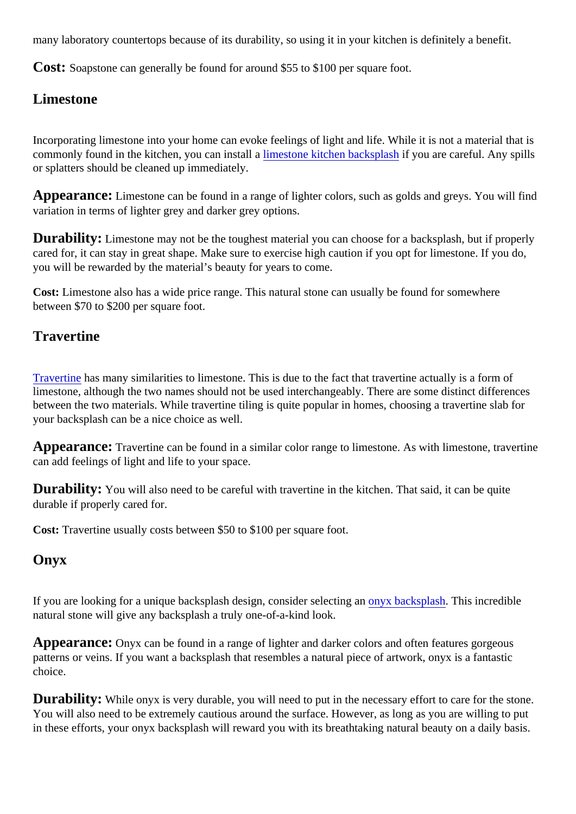<span id="page-3-0"></span>many laboratory countertops because of its durability, so using it in your kitchen is definitely a benefit.

Cost: Soapstone can generally be found for around \$55 to \$100 per square foot.

#### Limestone

Incorporating limestone into your home can evoke feelings of light and life. While it is not a material that is commonlyfound in the kitchen, you can installimestone kitchen backsplash you are careful. Any spills or splatters should be cleaned up immediately.

Appearance: Limestone can be found in a range of lighter colors, such as golds and greys. You will find variation in terms of lighter grey and darker grey options.

Durability: Limestone may not be the toughest material you can choose for a backsplash, but if properl cared for, it can stay in great shape. Make sure to exercise high caution if you opt for limestone. If you do, you will be rewarded by the material's beauty for years to come.

Cost: Limestone also has a wide price range. This natural stone can usually be found for somewhere between \$70 to \$200 per square foot.

#### **Travertine**

[Travertine](https://marble.com/travertine-countertops) has many similarities to limestone. This is due to the fact that travertine actually is a form of limestone, although the two names should not be used interchangeably. There are some distinct difference between the two materials. While travertine tiling is quite popular in homes, choosing a travertine slab for your backsplash can be a nice choice as well.

Appearance: Travertine can be found in a similar color range to limestone. As with limestone, travertine can add feelings of light and life to your space.

Durability: You will also need to be careful with travertine in the kitchen. That said, it can be quite durable if properly cared for.

Cost: Travertine usually costs between \$50 to \$100 per square foot.

#### Onyx

If you are looking for a unique backsplash design, consider selection ware acksplash[.](https://marble.com/onyx-countertops) This incredible natural stone will give any backsplash a truly one-of-a-kind look.

Appearance: Onyx can be found in a range of lighter and darker colors and often features gorgeous patterns or veins. If you want a backsplash that resembles a natural piece of artwork, onyx is a fantastic choice.

Durability: While onyx is very durable, you will need to put in the necessary effort to care for the stone. You will also need to be extremely cautious around the surface. However, as long as you are willing to put in these efforts, your onyx backsplash will reward you with its breathtaking natural beauty on a daily basis.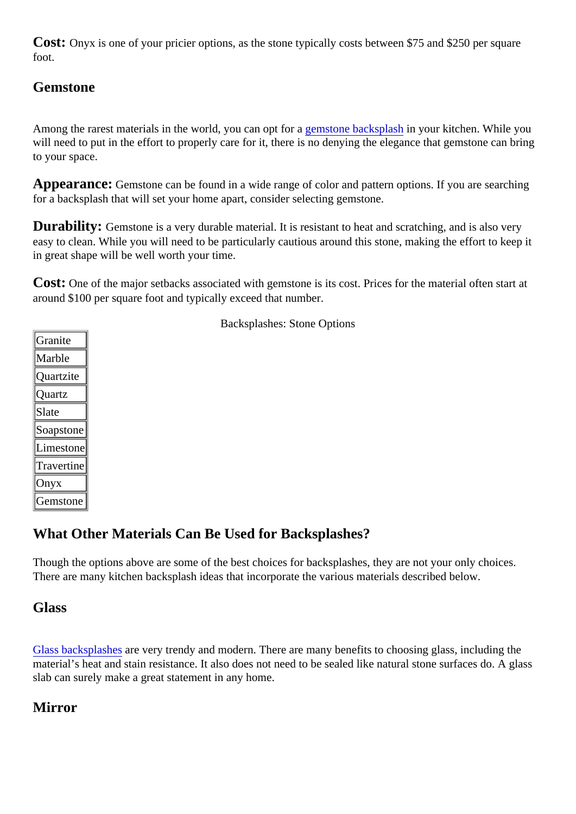<span id="page-4-0"></span>Cost: Onyx is one of your pricier options, as the stone typically costs between \$75 and \$250 per square foot.

### Gemstone

Among the rarest materials in the world, you can opt for a generatone backsplash your kitchen. While you will need to put in the effort to properly care for it, there is no denying the elegance that gemstone can brin to your space.

Appearance: Gemstone can be found in a wide range of color and pattern options. If you are searching for a backsplash that will set your home apart, consider selecting gemstone.

Durability: Gemstone is a very durable material. It is resistant to heat and scratching, and is also very easy to clean. While you will need to be particularly cautious around this stone, making the effort to keep it in great shape will be well worth your time.

Cost: One of the major setbacks associated with gemstone is its cost. Prices for the material often start at around \$100 per square foot and typically exceed that number.

**Granite** Marble **Quartzite Quartz** Slate Soapston**e** Limeston Travertine **Onyx** Gemstone

Backsplashes: Stone Options

### What Other Materials Can Be Used for Backsplashes?

Though the options above are some of the best choices for backsplashes, they are not your only choices. There are many kitchen backsplash ideas that incorporate the various materials described below.

#### Glass

[Glass backsplash](https://marble.com/glass-countertops)es very trendy and modern. There are many benefits to choosing glass, including the material's heat and stain resistance. It also does not need to be sealed like natural stone surfaces do. A gl slab can surely make a great statement in any home.

#### **Mirror**